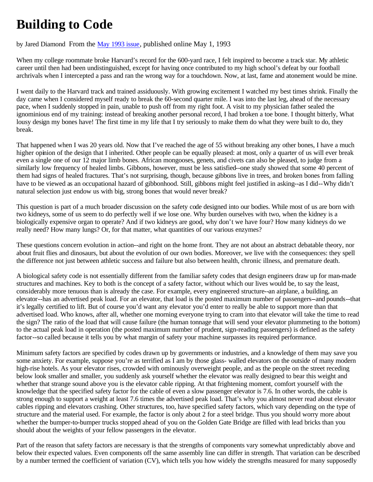## **Building to Code**

## by Jared Diamond From the May 1993 issue, published online May 1, 1993

When my college roommate broke Harvard's record for the 600-yard race, I felt inspired to become a track star. My athletic career until then had been undistinguished, except for having once contributed to my high school's defeat by our football archrivals when I intercepted a pass and ran the wrong way for a touchdown. Now, at last, fame and atonement would be mine.

I went daily to the Harvard track and trained assiduously. With growing excitement I watched my best times shrink. Finally the day came when I considered myself ready to break the 60-second quarter mile. I was into the last leg, ahead of the necessary pace, when I suddenly stopped in pain, unable to push off from my right foot. A visit to my physician father sealed the ignominious end of my training: instead of breaking another personal record, I had broken a toe bone. I thought bitterly, What lousy design my bones have! The first time in my life that I try seriously to make them do what they were built to do, they break.

That happened when I was 20 years old. Now that I've reached the age of 55 without breaking any other bones, I have a much higher opinion of the design that I inherited. Other people can be equally pleased: at most, only a quarter of us will ever break even a single one of our 12 major limb bones. African mongooses, genets, and civets can also be pleased, to judge from a similarly low frequency of healed limbs. Gibbons, however, must be less satisfied--one study showed that some 40 percent of them had signs of healed fractures. That's not surprising, though, because gibbons live in trees, and broken bones from falling have to be viewed as an occupational hazard of gibbonhood. Still, gibbons might feel justified in asking--as I did--Why didn't natural selection just endow us with big, strong bones that would never break?

This question is part of a much broader discussion on the safety code designed into our bodies. While most of us are born with two kidneys, some of us seem to do perfectly well if we lose one. Why burden ourselves with two, when the kidney is a biologically expensive organ to operate? And if two kidneys are good, why don't we have four? How many kidneys do we really need? How many lungs? Or, for that matter, what quantities of our various enzymes?

These questions concern evolution in action--and right on the home front. They are not about an abstract debatable theory, nor about fruit flies and dinosaurs, but about the evolution of our own bodies. Moreover, we live with the consequences: they spell the difference not just between athletic success and failure but also between health, chronic illness, and premature death.

A biological safety code is not essentially different from the familiar safety codes that design engineers draw up for man-made structures and machines. Key to both is the concept of a safety factor, without which our lives would be, to say the least, considerably more tenuous than is already the case. For example, every engineered structure--an airplane, a building, an elevator--has an advertised peak load. For an elevator, that load is the posted maximum number of passengers--and pounds--that it's legally certified to lift. But of course you'd want any elevator you'd enter to really be able to support more than that advertised load. Who knows, after all, whether one morning everyone trying to cram into that elevator will take the time to read the sign? The ratio of the load that will cause failure (the human tonnage that will send your elevator plummeting to the bottom) to the actual peak load in operation (the posted maximum number of prudent, sign-reading passengers) is defined as the safety factor--so called because it tells you by what margin of safety your machine surpasses its required performance.

Minimum safety factors are specified by codes drawn up by governments or industries, and a knowledge of them may save you some anxiety. For example, suppose you're as terrified as I am by those glass- walled elevators on the outside of many modern high-rise hotels. As your elevator rises, crowded with ominously overweight people, and as the people on the street receding below look smaller and smaller, you suddenly ask yourself whether the elevator was really designed to bear this weight and whether that strange sound above you is the elevator cable ripping. At that frightening moment, comfort yourself with the knowledge that the specified safety factor for the cable of even a slow passenger elevator is 7.6. In other words, the cable is strong enough to support a weight at least 7.6 times the advertised peak load. That's why you almost never read about elevator cables ripping and elevators crashing. Other structures, too, have specified safety factors, which vary depending on the type of structure and the material used. For example, the factor is only about 2 for a steel bridge. Thus you should worry more about whether the bumper-to-bumper trucks stopped ahead of you on the Golden Gate Bridge are filled with lead bricks than you should about the weights of your fellow passengers in the elevator.

Part of the reason that safety factors are necessary is that the strengths of components vary somewhat unpredictably above and below their expected values. Even components off the same assembly line can differ in strength. That variation can be described by a number termed the coefficient of variation (CV), which tells you how widely the strengths measured for many supposedly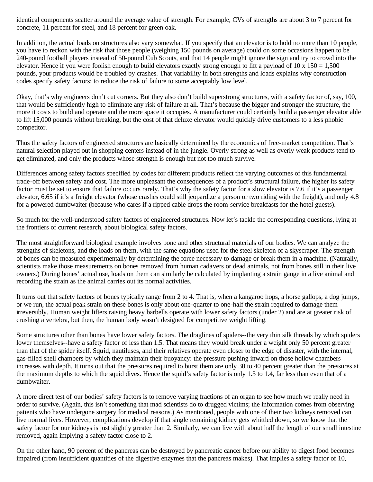identical components scatter around the average value of strength. For example, CVs of strengths are about 3 to 7 percent for concrete, 11 percent for steel, and 18 percent for green oak.

In addition, the actual loads on structures also vary somewhat. If you specify that an elevator is to hold no more than 10 people, you have to reckon with the risk that those people (weighing 150 pounds on average) could on some occasions happen to be 240-pound football players instead of 50-pound Cub Scouts, and that 14 people might ignore the sign and try to crowd into the elevator. Hence if you were foolish enough to build elevators exactly strong enough to lift a payload of  $10 \times 150 = 1,500$ pounds, your products would be troubled by crashes. That variability in both strengths and loads explains why construction codes specify safety factors: to reduce the risk of failure to some acceptably low level.

Okay, that's why engineers don't cut corners. But they also don't build superstrong structures, with a safety factor of, say, 100, that would be sufficiently high to eliminate any risk of failure at all. That's because the bigger and stronger the structure, the more it costs to build and operate and the more space it occupies. A manufacturer could certainly build a passenger elevator able to lift 15,000 pounds without breaking, but the cost of that deluxe elevator would quickly drive customers to a less phobic competitor.

Thus the safety factors of engineered structures are basically determined by the economics of free-market competition. That's natural selection played out in shopping centers instead of in the jungle. Overly strong as well as overly weak products tend to get eliminated, and only the products whose strength is enough but not too much survive.

Differences among safety factors specified by codes for different products reflect the varying outcomes of this fundamental trade-off between safety and cost. The more unpleasant the consequences of a product's structural failure, the higher its safety factor must be set to ensure that failure occurs rarely. That's why the safety factor for a slow elevator is 7.6 if it's a passenger elevator, 6.65 if it's a freight elevator (whose crashes could still jeopardize a person or two riding with the freight), and only 4.8 for a powered dumbwaiter (because who cares if a ripped cable drops the room-service breakfasts for the hotel guests).

So much for the well-understood safety factors of engineered structures. Now let's tackle the corresponding questions, lying at the frontiers of current research, about biological safety factors.

The most straightforward biological example involves bone and other structural materials of our bodies. We can analyze the strengths of skeletons, and the loads on them, with the same equations used for the steel skeleton of a skyscraper. The strength of bones can be measured experimentally by determining the force necessary to damage or break them in a machine. (Naturally, scientists make those measurements on bones removed from human cadavers or dead animals, not from bones still in their live owners.) During bones' actual use, loads on them can similarly be calculated by implanting a strain gauge in a live animal and recording the strain as the animal carries out its normal activities.

It turns out that safety factors of bones typically range from 2 to 4. That is, when a kangaroo hops, a horse gallops, a dog jumps, or we run, the actual peak strain on these bones is only about one-quarter to one-half the strain required to damage them irreversibly. Human weight lifters raising heavy barbells operate with lower safety factors (under 2) and are at greater risk of crushing a vertebra, but then, the human body wasn't designed for competitive weight lifting.

Some structures other than bones have lower safety factors. The draglines of spiders--the very thin silk threads by which spiders lower themselves--have a safety factor of less than 1.5. That means they would break under a weight only 50 percent greater than that of the spider itself. Squid, nautiluses, and their relatives operate even closer to the edge of disaster, with the internal, gas-filled shell chambers by which they maintain their buoyancy: the pressure pushing inward on those hollow chambers increases with depth. It turns out that the pressures required to burst them are only 30 to 40 percent greater than the pressures at the maximum depths to which the squid dives. Hence the squid's safety factor is only 1.3 to 1.4, far less than even that of a dumbwaiter.

A more direct test of our bodies' safety factors is to remove varying fractions of an organ to see how much we really need in order to survive. (Again, this isn't something that mad scientists do to drugged victims; the information comes from observing patients who have undergone surgery for medical reasons.) As mentioned, people with one of their two kidneys removed can live normal lives. However, complications develop if that single remaining kidney gets whittled down, so we know that the safety factor for our kidneys is just slightly greater than 2. Similarly, we can live with about half the length of our small intestine removed, again implying a safety factor close to 2.

On the other hand, 90 percent of the pancreas can be destroyed by pancreatic cancer before our ability to digest food becomes impaired (from insufficient quantities of the digestive enzymes that the pancreas makes). That implies a safety factor of 10,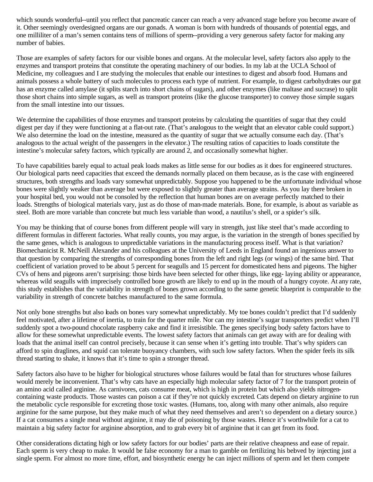which sounds wonderful--until you reflect that pancreatic cancer can reach a very advanced stage before you become aware of it. Other seemingly overdesigned organs are our gonads. A woman is born with hundreds of thousands of potential eggs, and one milliliter of a man's semen contains tens of millions of sperm--providing a very generous safety factor for making any number of babies.

Those are examples of safety factors for our visible bones and organs. At the molecular level, safety factors also apply to the enzymes and transport proteins that constitute the operating machinery of our bodies. In my lab at the UCLA School of Medicine, my colleagues and I are studying the molecules that enable our intestines to digest and absorb food. Humans and animals possess a whole battery of such molecules to process each type of nutrient. For example, to digest carbohydrates our gut has an enzyme called amylase (it splits starch into short chains of sugars), and other enzymes (like maltase and sucrase) to split those short chains into simple sugars, as well as transport proteins (like the glucose transporter) to convey those simple sugars from the small intestine into our tissues.

We determine the capabilities of those enzymes and transport proteins by calculating the quantities of sugar that they could digest per day if they were functioning at a flat-out rate. (That's analogous to the weight that an elevator cable could support.) We also determine the load on the intestine, measured as the quantity of sugar that we actually consume each day. (That's analogous to the actual weight of the passengers in the elevator.) The resulting ratios of capacities to loads constitute the intestine's molecular safety factors, which typically are around 2, and occasionally somewhat higher.

To have capabilities barely equal to actual peak loads makes as little sense for our bodies as it does for engineered structures. Our biological parts need capacities that exceed the demands normally placed on them because, as is the case with engineered structures, both strengths and loads vary somewhat unpredictably. Suppose you happened to be the unfortunate individual whose bones were slightly weaker than average but were exposed to slightly greater than average strains. As you lay there broken in your hospital bed, you would not be consoled by the reflection that human bones are on average perfectly matched to their loads. Strengths of biological materials vary, just as do those of man-made materials. Bone, for example, is about as variable as steel. Both are more variable than concrete but much less variable than wood, a nautilus's shell, or a spider's silk.

You may be thinking that of course bones from different people will vary in strength, just like steel that's made according to different formulas in different factories. What really counts, you may argue, is the variation in the strength of bones specified by the same genes, which is analogous to unpredictable variations in the manufacturing process itself. What is that variation? Biomechanicist R. McNeill Alexander and his colleagues at the University of Leeds in England found an ingenious answer to that question by comparing the strengths of corresponding bones from the left and right legs (or wings) of the same bird. That coefficient of variation proved to be about 5 percent for seagulls and 15 percent for domesticated hens and pigeons. The higher CVs of hens and pigeons aren't surprising: those birds have been selected for other things, like egg- laying ability or appearance, whereas wild seagulls with imprecisely controlled bone growth are likely to end up in the mouth of a hungry coyote. At any rate, this study establishes that the variability in strength of bones grown according to the same genetic blueprint is comparable to the variability in strength of concrete batches manufactured to the same formula.

Not only bone strengths but also loads on bones vary somewhat unpredictably. My toe bones couldn't predict that I'd suddenly feel motivated, after a lifetime of inertia, to train for the quarter mile. Nor can my intestine's sugar transporters predict when I'll suddenly spot a two-pound chocolate raspberry cake and find it irresistible. The genes specifying body safety factors have to allow for these somewhat unpredictable events. The lowest safety factors that animals can get away with are for dealing with loads that the animal itself can control precisely, because it can sense when it's getting into trouble. That's why spiders can afford to spin draglines, and squid can tolerate buoyancy chambers, with such low safety factors. When the spider feels its silk thread starting to shake, it knows that it's time to spin a stronger thread.

Safety factors also have to be higher for biological structures whose failures would be fatal than for structures whose failures would merely be inconvenient. That's why cats have an especially high molecular safety factor of 7 for the transport protein of an amino acid called arginine. As carnivores, cats consume meat, which is high in protein but which also yields nitrogencontaining waste products. Those wastes can poison a cat if they're not quickly excreted. Cats depend on dietary arginine to run the metabolic cycle responsible for excreting those toxic wastes. (Humans, too, along with many other animals, also require arginine for the same purpose, but they make much of what they need themselves and aren't so dependent on a dietary source.) If a cat consumes a single meal without arginine, it may die of poisoning by those wastes. Hence it's worthwhile for a cat to maintain a big safety factor for arginine absorption, and to grab every bit of arginine that it can get from its food.

Other considerations dictating high or low safety factors for our bodies' parts are their relative cheapness and ease of repair. Each sperm is very cheap to make. It would be false economy for a man to gamble on fertilizing his beloved by injecting just a single sperm. For almost no more time, effort, and biosynthetic energy he can inject millions of sperm and let them compete